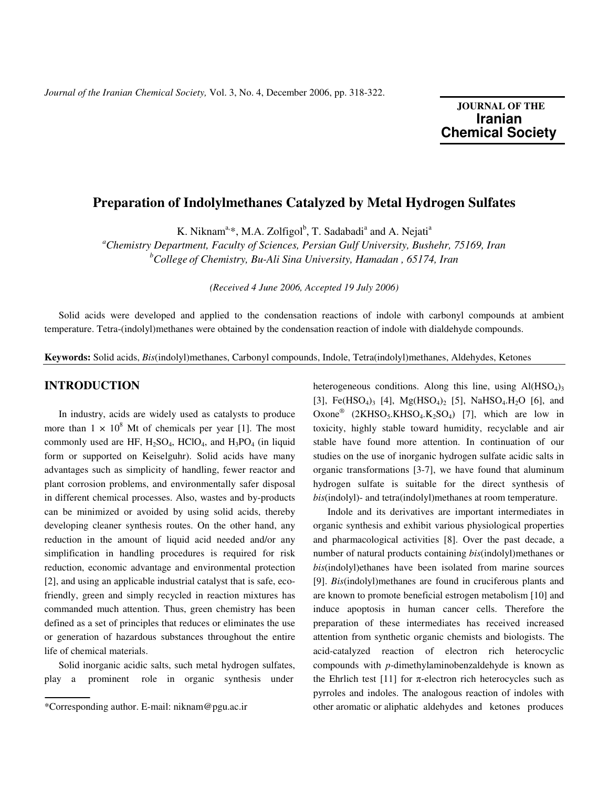# **JOURNAL OF THE Iranian**  **Chemical Society**

## **Preparation of Indolylmethanes Catalyzed by Metal Hydrogen Sulfates**

K. Niknam<sup>a,\*</sup>, M.A. Zolfigol<sup>b</sup>, T. Sadabadi<sup>a</sup> and A. Nejati<sup>a</sup>

*<sup>a</sup>Chemistry Department, Faculty of Sciences, Persian Gulf University, Bushehr, 75169, Iran <sup>b</sup>College of Chemistry, Bu-Ali Sina University, Hamadan , 65174, Iran* 

*(Received 4 June 2006, Accepted 19 July 2006)* 

 Solid acids were developed and applied to the condensation reactions of indole with carbonyl compounds at ambient temperature. Tetra-(indolyl)methanes were obtained by the condensation reaction of indole with dialdehyde compounds.

**Keywords:** Solid acids, *Bis*(indolyl)methanes, Carbonyl compounds, Indole, Tetra(indolyl)methanes, Aldehydes, Ketones

### **INTRODUCTION**

 In industry, acids are widely used as catalysts to produce more than  $1 \times 10^8$  Mt of chemicals per year [1]. The most commonly used are HF,  $H_2SO_4$ , HClO<sub>4</sub>, and  $H_3PO_4$  (in liquid form or supported on Keiselguhr). Solid acids have many advantages such as simplicity of handling, fewer reactor and plant corrosion problems, and environmentally safer disposal in different chemical processes. Also, wastes and by-products can be minimized or avoided by using solid acids, thereby developing cleaner synthesis routes. On the other hand, any reduction in the amount of liquid acid needed and/or any simplification in handling procedures is required for risk reduction, economic advantage and environmental protection [2], and using an applicable industrial catalyst that is safe, ecofriendly, green and simply recycled in reaction mixtures has commanded much attention. Thus, green chemistry has been defined as a set of principles that reduces or eliminates the use or generation of hazardous substances throughout the entire life of chemical materials.

 Solid inorganic acidic salts, such metal hydrogen sulfates, play a prominent role in organic synthesis under

heterogeneous conditions. Along this line, using  $Al(HSO<sub>4</sub>)<sub>3</sub>$ [3], Fe(HSO<sub>4</sub>)<sub>3</sub> [4], Mg(HSO<sub>4</sub>)<sub>2</sub> [5], NaHSO<sub>4</sub>.H<sub>2</sub>O [6], and Oxone<sup>®</sup> (2KHSO<sub>5</sub>.KHSO<sub>4</sub>.K<sub>2</sub>SO<sub>4</sub>) [7], which are low in toxicity, highly stable toward humidity, recyclable and air stable have found more attention. In continuation of our studies on the use of inorganic hydrogen sulfate acidic salts in organic transformations [3-7], we have found that aluminum hydrogen sulfate is suitable for the direct synthesis of *bis*(indolyl)- and tetra(indolyl)methanes at room temperature.

 Indole and its derivatives are important intermediates in organic synthesis and exhibit various physiological properties and pharmacological activities [8]. Over the past decade, a number of natural products containing *bis*(indolyl)methanes or *bis*(indolyl)ethanes have been isolated from marine sources [9]. *Bis*(indolyl)methanes are found in cruciferous plants and are known to promote beneficial estrogen metabolism [10] and induce apoptosis in human cancer cells. Therefore the preparation of these intermediates has received increased attention from synthetic organic chemists and biologists. The acid-catalyzed reaction of electron rich heterocyclic compounds with *p*-dimethylaminobenzaldehyde is known as the Ehrlich test [11] for  $\pi$ -electron rich heterocycles such as pyrroles and indoles. The analogous reaction of indoles with other aromatic or aliphatic aldehydes and ketones produces

<sup>\*</sup>Corresponding author. E-mail: niknam@pgu.ac.ir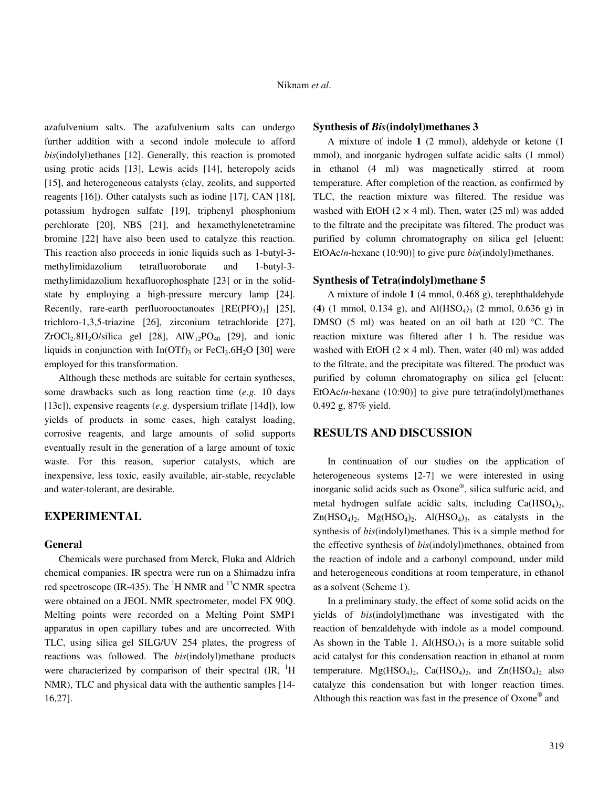azafulvenium salts. The azafulvenium salts can undergo further addition with a second indole molecule to afford *bis*(indolyl)ethanes [12]. Generally, this reaction is promoted using protic acids [13], Lewis acids [14], heteropoly acids [15], and heterogeneous catalysts (clay, zeolits, and supported reagents [16]). Other catalysts such as iodine [17], CAN [18], potassium hydrogen sulfate [19], triphenyl phosphonium perchlorate [20], NBS [21], and hexamethylenetetramine bromine [22] have also been used to catalyze this reaction. This reaction also proceeds in ionic liquids such as 1-butyl-3 methylimidazolium tetrafluoroborate and 1-butyl-3 methylimidazolium hexafluorophosphate [23] or in the solidstate by employing a high-pressure mercury lamp [24]. Recently, rare-earth perfluorooctanoates  $[RE(PEO)<sub>3</sub>]$   $[25]$ , trichloro-1,3,5-triazine [26], zirconium tetrachloride [27], ZrOCl<sub>2</sub>.8H<sub>2</sub>O/silica gel [28], AlW<sub>12</sub>PO<sub>40</sub> [29], and ionic liquids in conjunction with  $In(OTf)_{3}$  or  $FeCl_{3}.6H_{2}O$  [30] were employed for this transformation.

 Although these methods are suitable for certain syntheses, some drawbacks such as long reaction time (*e.g.* 10 days [13c]), expensive reagents (*e.g.* dyspersium triflate [14d]), low yields of products in some cases, high catalyst loading, corrosive reagents, and large amounts of solid supports eventually result in the generation of a large amount of toxic waste. For this reason, superior catalysts, which are inexpensive, less toxic, easily available, air-stable, recyclable and water-tolerant, are desirable.

## **EXPERIMENTAL**

#### **General**

 Chemicals were purchased from Merck, Fluka and Aldrich chemical companies. IR spectra were run on a Shimadzu infra red spectroscope (IR-435). The  ${}^{1}$ H NMR and  ${}^{13}$ C NMR spectra were obtained on a JEOL NMR spectrometer, model FX 90Q. Melting points were recorded on a Melting Point SMP1 apparatus in open capillary tubes and are uncorrected. With TLC, using silica gel SILG/UV 254 plates, the progress of reactions was followed. The *bis*(indolyl)methane products were characterized by comparison of their spectral  $\rm (IR, H)$ NMR), TLC and physical data with the authentic samples [14- 16,27].

### **Synthesis of** *Bis***(indolyl)methanes 3**

 A mixture of indole **1** (2 mmol), aldehyde or ketone (1 mmol), and inorganic hydrogen sulfate acidic salts (1 mmol) in ethanol (4 ml) was magnetically stirred at room temperature. After completion of the reaction, as confirmed by TLC, the reaction mixture was filtered. The residue was washed with EtOH  $(2 \times 4 \text{ ml})$ . Then, water  $(25 \text{ ml})$  was added to the filtrate and the precipitate was filtered. The product was purified by column chromatography on silica gel [eluent: EtOAc/*n*-hexane (10:90)] to give pure *bis*(indolyl)methanes.

#### **Synthesis of Tetra(indolyl)methane 5**

 A mixture of indole **1** (4 mmol, 0.468 g), terephthaldehyde (4) (1 mmol, 0.134 g), and  $Al(HSO<sub>4</sub>)<sub>3</sub>$  (2 mmol, 0.636 g) in DMSO (5 ml) was heated on an oil bath at 120 °C. The reaction mixture was filtered after 1 h. The residue was washed with EtOH  $(2 \times 4$  ml). Then, water  $(40 \text{ ml})$  was added to the filtrate, and the precipitate was filtered. The product was purified by column chromatography on silica gel [eluent: EtOAc/*n*-hexane (10:90)] to give pure tetra(indolyl)methanes 0.492 g, 87% yield.

## **RESULTS AND DISCUSSION**

 In continuation of our studies on the application of heterogeneous systems [2-7] we were interested in using inorganic solid acids such as Oxone® , silica sulfuric acid, and metal hydrogen sulfate acidic salts, including  $Ca(HSO<sub>4</sub>)<sub>2</sub>$ ,  $Zn(HSO<sub>4</sub>)<sub>2</sub>$ ,  $Mg(HSO<sub>4</sub>)<sub>2</sub>$ ,  $Al(HSO<sub>4</sub>)<sub>3</sub>$ , as catalysts in the synthesis of *bis*(indolyl)methanes. This is a simple method for the effective synthesis of *bis*(indolyl)methanes, obtained from the reaction of indole and a carbonyl compound, under mild and heterogeneous conditions at room temperature, in ethanol as a solvent (Scheme 1).

 In a preliminary study, the effect of some solid acids on the yields of *bis*(indolyl)methane was investigated with the reaction of benzaldehyde with indole as a model compound. As shown in the Table 1,  $Al(HSO<sub>4</sub>)<sub>3</sub>$  is a more suitable solid acid catalyst for this condensation reaction in ethanol at room temperature.  $Mg(HSO_4)_2$ ,  $Ca(HSO_4)_2$ , and  $Zn(HSO_4)_2$  also catalyze this condensation but with longer reaction times. Although this reaction was fast in the presence of Oxone® and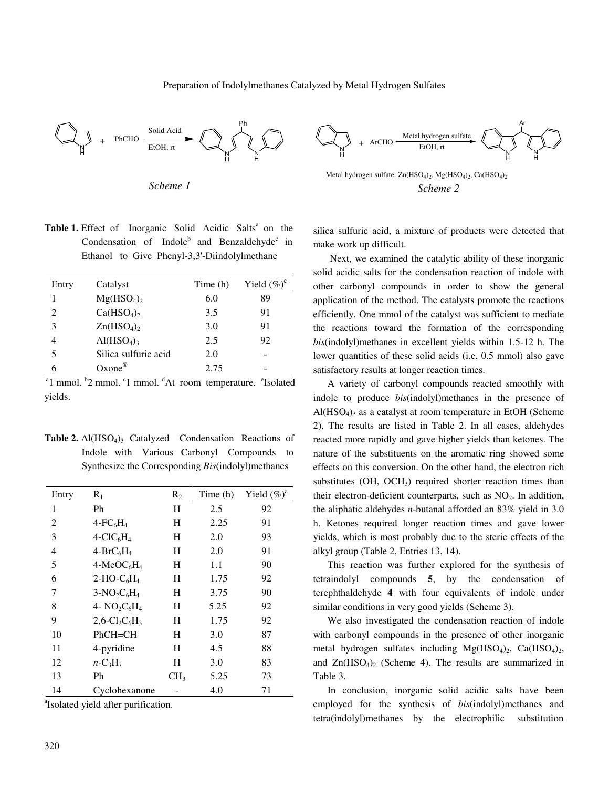#### Preparation of Indolylmethanes Catalyzed by Metal Hydrogen Sulfates



*Scheme 1* 

Table 1. Effect of Inorganic Solid Acidic Salts<sup>a</sup> on the Condensation of Indole<sup>b</sup> and Benzaldehyde<sup>c</sup> in Ethanol to Give Phenyl-3,3'-Diindolylmethane

| Entry          | Catalyst                           | Time (h) | Yield $(\%)^e$ |
|----------------|------------------------------------|----------|----------------|
|                | $Mg(HSO_4)_2$                      | 6.0      | 89             |
| $\mathfrak{D}$ | Ca(HSO <sub>4</sub> ) <sub>2</sub> | 3.5      | 91             |
| 3              | $Zn(HSO_4)$                        | 3.0      | 91             |
|                | AI(HSO <sub>4</sub> ) <sub>3</sub> | 2.5      | 92             |
| 5              | Silica sulfuric acid               | 2.0      |                |
|                | Oxone <sup>®</sup>                 | 2.75     |                |

<sup>a</sup>1 mmol. <sup>b</sup>2 mmol. <sup>c</sup>1 mmol. <sup>d</sup>At room temperature. <sup>e</sup>Isolated yields.

**Table 2.** Al(HSO<sub>4</sub>)<sub>3</sub> Catalyzed Condensation Reactions of Indole with Various Carbonyl Compounds to Synthesize the Corresponding *Bis*(indolyl)methanes

| Entry          | $R_1$                                                | $R_2$           | Time (h) | Yield $(\%)^a$ |
|----------------|------------------------------------------------------|-----------------|----------|----------------|
| 1              | Ph                                                   | Η               | 2.5      | 92             |
| 2              | $4$ -FC <sub>6</sub> H <sub>4</sub>                  | H               | 2.25     | 91             |
| 3              | $4-CIC6H4$                                           | Н               | 2.0      | 93             |
| $\overline{4}$ | $4-BrC_6H_4$                                         | Н               | 2.0      | 91             |
| 5              | $4-MeOC6H4$                                          | H               | 1.1      | 90             |
| 6              | $2-HO-C6H4$                                          | Н               | 1.75     | 92             |
| 7              | $3-NO_2C_6H_4$                                       | Η               | 3.75     | 90             |
| 8              | 4- $NO2C6H4$                                         | H               | 5.25     | 92             |
| 9              | $2,6$ -Cl <sub>2</sub> C <sub>6</sub> H <sub>3</sub> | Η               | 1.75     | 92             |
| 10             | $PhCH=CH$                                            | Η               | 3.0      | 87             |
| 11             | 4-pyridine                                           | H               | 4.5      | 88             |
| 12             | $n-C_3H_7$                                           | Η               | 3.0      | 83             |
| 13             | Ph                                                   | CH <sub>3</sub> | 5.25     | 73             |
| 14             | Cyclohexanone                                        |                 | 4.0      | 71             |

a Isolated yield after purification.

N H + ArCHO EtOH, rt N H N H Ar Metal hydrogen sulfate

Metal hydrogen sulfate:  $\text{Zn}(\text{HSO}_4)_2$ ,  $\text{Mg}(\text{HSO}_4)_2$ ,  $\text{Ca}(\text{HSO}_4)_2$ *Scheme 2* 

silica sulfuric acid, a mixture of products were detected that make work up difficult.

 Next, we examined the catalytic ability of these inorganic solid acidic salts for the condensation reaction of indole with other carbonyl compounds in order to show the general application of the method. The catalysts promote the reactions efficiently. One mmol of the catalyst was sufficient to mediate the reactions toward the formation of the corresponding *bis*(indolyl)methanes in excellent yields within 1.5-12 h. The lower quantities of these solid acids (i.e. 0.5 mmol) also gave satisfactory results at longer reaction times.

 A variety of carbonyl compounds reacted smoothly with indole to produce *bis*(indolyl)methanes in the presence of  $Al(HSO<sub>4</sub>)<sub>3</sub>$  as a catalyst at room temperature in EtOH (Scheme 2). The results are listed in Table 2. In all cases, aldehydes reacted more rapidly and gave higher yields than ketones. The nature of the substituents on the aromatic ring showed some effects on this conversion. On the other hand, the electron rich substitutes (OH, OCH<sub>3</sub>) required shorter reaction times than their electron-deficient counterparts, such as  $NO<sub>2</sub>$ . In addition, the aliphatic aldehydes *n*-butanal afforded an 83% yield in 3.0 h. Ketones required longer reaction times and gave lower yields, which is most probably due to the steric effects of the alkyl group (Table 2, Entries 13, 14).

 This reaction was further explored for the synthesis of tetraindolyl compounds **5**, by the condensation of terephthaldehyde **4** with four equivalents of indole under similar conditions in very good yields (Scheme 3).

 We also investigated the condensation reaction of indole with carbonyl compounds in the presence of other inorganic metal hydrogen sulfates including  $Mg(HSO<sub>4</sub>)<sub>2</sub>$ , Ca(HSO<sub>4</sub>)<sub>2</sub>, and  $Zn(HSO<sub>4</sub>)<sub>2</sub>$  (Scheme 4). The results are summarized in Table 3.

 In conclusion, inorganic solid acidic salts have been employed for the synthesis of *bis*(indolyl)methanes and tetra(indolyl)methanes by the electrophilic substitution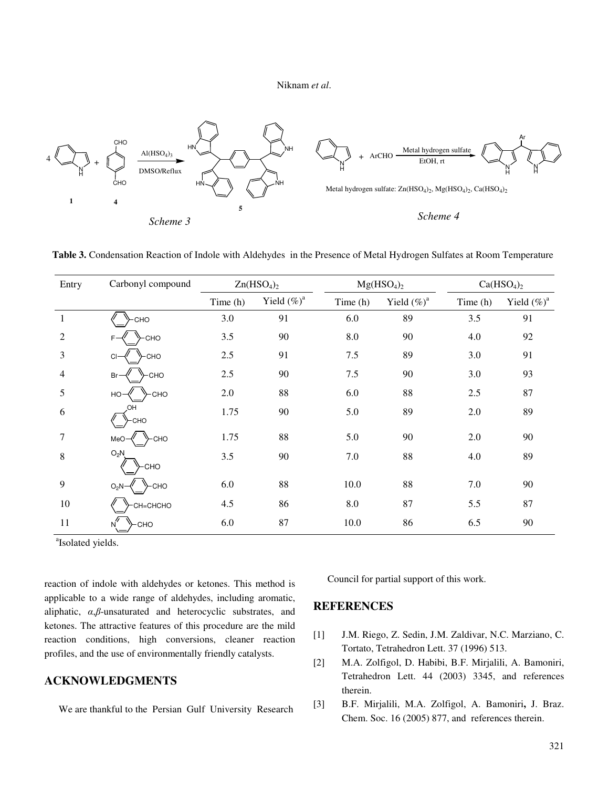Niknam *et al*.



 **Table 3.** Condensation Reaction of Indole with Aldehydes in the Presence of Metal Hydrogen Sulfates at Room Temperature

| Entry          | Carbonyl compound      | Zn(HSO <sub>4</sub> ) <sub>2</sub> |                | Mg(HSO <sub>4</sub> ) <sub>2</sub> |                | Ca(HSO <sub>4</sub> ) <sub>2</sub> |                |
|----------------|------------------------|------------------------------------|----------------|------------------------------------|----------------|------------------------------------|----------------|
|                |                        | Time (h)                           | Yield $(\%)^a$ | Time(h)                            | Yield $(\%)^a$ | Time (h)                           | Yield $(\%)^a$ |
|                | CHO                    | 3.0                                | 91             | 6.0                                | 89             | 3.5                                | 91             |
| $\overline{2}$ | ≻сно                   | 3.5                                | 90             | 8.0                                | 90             | 4.0                                | 92             |
| 3              | CHO-<br>CI             | $2.5\,$                            | 91             | 7.5                                | 89             | 3.0                                | 91             |
| 4              | -CHO<br>Br-            | $2.5\,$                            | 90             | 7.5                                | 90             | 3.0                                | 93             |
| 5              | ≻сно<br>$HO-$          | 2.0                                | 88             | 6.0                                | 88             | 2.5                                | 87             |
| 6              | HO.<br>≻сно            | 1.75                               | 90             | 5.0                                | 89             | 2.0                                | 89             |
| 7              | у−сно<br>MeO-          | 1.75                               | 88             | 5.0                                | 90             | 2.0                                | 90             |
| 8              | $O_2N$<br><b>CHO</b>   | 3.5                                | 90             | 7.0                                | 88             | 4.0                                | 89             |
| 9              | У-сно<br>$O_2N$        | 6.0                                | 88             | 10.0                               | 88             | 7.0                                | 90             |
| 10             | СН=СНСНО               | 4.5                                | 86             | 8.0                                | 87             | 5.5                                | 87             |
| 11             | ≻сно<br>N <sup>"</sup> | 6.0                                | 87             | 10.0                               | 86             | 6.5                                | 90             |

<sup>a</sup>Isolated yields.

reaction of indole with aldehydes or ketones. This method is applicable to a wide range of aldehydes, including aromatic, aliphatic, α,β-unsaturated and heterocyclic substrates, and ketones. The attractive features of this procedure are the mild reaction conditions, high conversions, cleaner reaction profiles, and the use of environmentally friendly catalysts.

## **ACKNOWLEDGMENTS**

We are thankful to the Persian Gulf University Research

Council for partial support of this work.

## **REFERENCES**

- [1] J.M. Riego, Z. Sedin, J.M. Zaldivar, N.C. Marziano, C. Tortato, Tetrahedron Lett. 37 (1996) 513.
- [2] M.A. Zolfigol, D. Habibi, B.F. Mirjalili, A. Bamoniri, Tetrahedron Lett. 44 (2003) 3345, and references therein.
- [3] B.F. Mirjalili, M.A. Zolfigol, A. Bamoniri**,** J. Braz. Chem. Soc. 16 (2005) 877, and references therein.